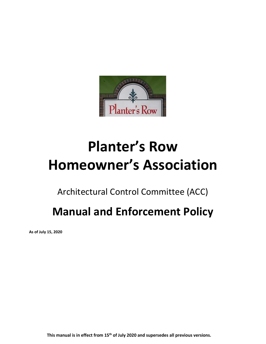

# **Planter's Row Homeowner's Association**

Architectural Control Committee (ACC)

# **Manual and Enforcement Policy**

**As of July 15, 2020**

**This manual is in effect from 15th of July 2020 and supersedes all previous versions.**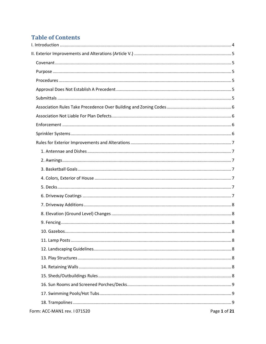## **Table of Contents**

| Form: ACC-MAN1 rev. I 071520<br>Page 1 of 21 |  |
|----------------------------------------------|--|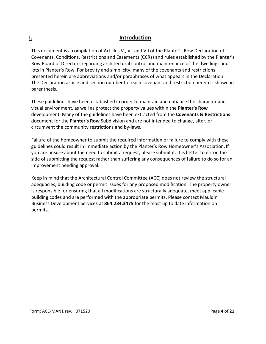### <span id="page-4-0"></span>**I. Introduction**

This document is a compilation of Articles V., VI. and VII of the Planter's Row Declaration of Covenants, Conditions, Restrictions and Easements (CCRs) and rules established by the Planter's Row Board of Directors regarding architectural control and maintenance of the dwellings and lots in Planter's Row. For brevity and simplicity, many of the covenants and restrictions presented herein are abbreviations and/or paraphrases of what appears in the Declaration. The Declaration article and section number for each covenant and restriction herein is shown in parenthesis.

These guidelines have been established in order to maintain and enhance the character and visual environment, as well as protect the property values within the **Planter's Row**  development. Many of the guidelines have been extracted from the **Covenants & Restrictions**  document for the **Planter's Row** Subdivision and are not intended to change, alter, or circumvent the community restrictions and by-laws.

Failure of the homeowner to submit the required information or failure to comply with these guidelines could result in immediate action by the Planter's Row Homeowner's Association. If you are unsure about the need to submit a request, please submit it. It is better to err on the side of submitting the request rather than suffering any consequences of failure to do so for an improvement needing approval.

Keep in mind that the Architectural Control Committee (ACC) does not review the structural adequacies, building code or permit issues for any proposed modification. The property owner is responsible for ensuring that all modifications are structurally adequate, meet applicable building codes and are performed with the appropriate permits. Please contact Mauldin Business Development Services at **864.234.3475** for the most up to date information on permits.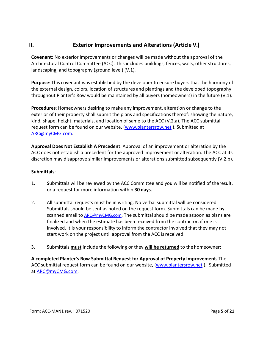### <span id="page-5-0"></span>**II. Exterior Improvements and Alterations (Article V.)**

<span id="page-5-1"></span>**Covenant:** No exterior improvements or changes will be made without the approval of the Architectural Control Committee (ACC). This includes buildings, fences, walls, other structures, landscaping, and topography (ground level) (V.1).

<span id="page-5-2"></span>**Purpose**: This covenant was established by the developer to ensure buyers that the harmony of the external design, colors, location of structures and plantings and the developed topography throughout Planter's Row would be maintained by all buyers (homeowners) in the future (V.1).

<span id="page-5-3"></span>**Procedures**: Homeowners desiring to make any improvement, alteration or change to the exterior of their property shall submit the plans and specifications thereof: showing the nature, kind, shape, height, materials, and location of same to the ACC (V.2.a). The ACC submittal request form can be found on our website, [\(www.plantersrow.net](http://www.plantersrow.net/) ). Submitted at [ARC@myCMG.com.](mailto:ARC@myCMG.com)

<span id="page-5-4"></span>**Approval Does Not Establish A Precedent**: Approval of an improvement or alteration by the ACC does not establish a precedent for the approved improvement or alteration. The ACC at its discretion may disapprove similar improvements or alterations submitted subsequently (V.2.b).

#### <span id="page-5-5"></span>**Submittals**:

- 1. Submittals will be reviewed by the ACC Committee and you will be notified of theresult, or a request for more information within **30 days**.
- 2. All submittal requests must be in writing. No verbal submittal will be considered. Submittals should be sent as noted on the request form. Submittals can be made by scanned email to [ARC@myCMG.com.](mailto:ARC@myCMG.com) The submittal should be made assoon as plans are finalized and when the estimate has been received from the contractor, if one is involved. It is your responsibility to inform the contractor involved that they may not start work on the project until approval from the ACC is received.
- 3. Submittals **must** include the following or they **will be returned** to the homeowner:

**A completed Planter's Row Submittal Request for Approval of Property Improvement.** The ACC submittal request form can be found on our website, [\(www.plantersrow.net](http://www.plantersrow.net/)). Submitted at [ARC@myCMG.com.](mailto:ARC@myCMG.com)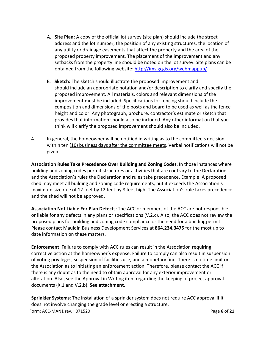- A. **Site Plan:** A copy of the official lot survey (site plan) should include the street address and the lot number, the position of any existing structures, the location of any utility or drainage easements that affect the property and the area of the proposed property improvement. The placement of the improvement and any setbacks from the property line should be noted on the lot survey. Site plans can be obtained from the following website: <http://ims.gcgis.org/webmappub/>
- B. **Sketch:** The sketch should illustrate the proposed improvement and should include an appropriate notation and/or description to clarify and specify the proposed improvement. All materials, colors and relevant dimensions of the improvement must be included. Specifications for fencing should include the composition and dimensions of the posts and board to be used as well as the fence height and color. Any photograph, brochure, contractor's estimate or sketch that provides that information should also be included. Any other information that you think will clarify the proposed improvement should also be included.
- 4. In general, the homeowner will be notified in writing as to the committee's decision within ten (10) business days after the committee meets. Verbal notifications will not be given.

<span id="page-6-0"></span>**Association Rules Take Precedence Over Building and Zoning Codes**: In those instances where building and zoning codes permit structures or activities that are contrary to the Declaration and the Association's rules the Declaration and rules take precedence. Example: A proposed shed may meet all building and zoning code requirements, but it exceeds the Association's maximum size rule of 12 feet by 12 feet by 8 feet high. The Association's rule takes precedence and the shed will not be approved.

<span id="page-6-1"></span>**Association Not Liable For Plan Defects**: The ACC or members of the ACC are not responsible or liable for any defects in any plans or specifications (V.2.c). Also, the ACC does not review the proposed plans for building and zoning code compliance or the need for a buildingpermit. Please contact Mauldin Business Development Services at **864.234.3475** for the most up to date information on these matters.

<span id="page-6-2"></span>**Enforcement**: Failure to comply with ACC rules can result in the Association requiring corrective action at the homeowner's expense. Failure to comply can also result in suspension of voting privileges, suspension of facilities use, and a monetary fine. There is no time limit on the Association as to initiating an enforcement action. Therefore, please contact the ACC if there is any doubt as to the need to obtain approval for any exterior improvement or alteration. Also, see the Approval in Writing item regarding the keeping of project approval documents (X.1 and V.2.b). **See attachment.**

<span id="page-6-3"></span>Form: ACC-MAN1 rev. I 071520 Page **6** of **21 Sprinkler Systems**: The installation of a sprinkler system does not require ACC approval if it does not involve changing the grade level or erecting a structure.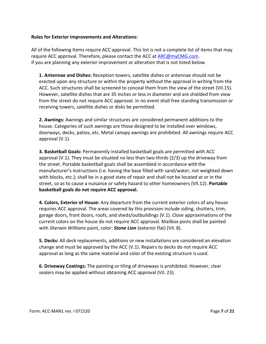#### <span id="page-7-0"></span>**Rules for Exterior Improvements and Alterations:**

All of the following Items require ACC approval. This list is not a complete list of items that may require ACC approval. Therefore, please contact the ACC at [ARC@myCMG.com.](mailto:ARC@myCMG.com) if you are planning any exterior improvement or alteration that is not listed below.

<span id="page-7-1"></span>**1. Antennae and Dishes:** Reception towers, satellite dishes or antennae should not be erected upon any structure or within the property without the approval in writing from the ACC. Such structures shall be screened to conceal them from the view of the street (VII.15). However, satellite dishes that are 35 inches or less in diameter and are shielded from view from the street do not require ACC approval. In no event shall free standing transmission or receiving towers, satellite dishes or disks be permitted.

<span id="page-7-2"></span>**2. Awnings:** Awnings and similar structures are considered permanent additions to the house. Categories of such awnings are those designed to be installed over windows, doorways, decks, patios, etc. Metal canopy awnings are prohibited. All awnings require ACC approval (V.1).

<span id="page-7-3"></span>**3. Basketball Goals:** Permanently installed basketball goals are permitted with ACC approval (V.1). They must be situated no less than two-thirds (2/3) up the driveway from the street. Portable basketball goals shall be assembled in accordance with the manufacturer's instructions (i.e. having the base filled with sand/water, not weighted down with blocks, etc.); shall be in a good state of repair and shall not be located at or in the street, so as to cause a nuisance or safety hazard to other homeowners (VII.12). **Portable basketball goals do not require ACC approval.**

<span id="page-7-4"></span>**4. Colors, Exterior of House:** Any departure from the current exterior colors of any house requires ACC approval. The areas covered by this provision include siding, shutters, trim, garage doors, front doors, roofs, and sheds/outbuildings (V.1). Close approximations of the current colors on the house do not require ACC approval. Mailbox posts shall be painted with *Sherwin Williams* paint, color: *Stone Lion* (exterior flat) (VII. 8).

<span id="page-7-5"></span>**5. Decks:** All deck replacements, additions or new installations are considered an elevation change and must be approved by the ACC (V.1). Repairs to decks do not require ACC approval as long as the same material and color of the existing structure is used.

<span id="page-7-6"></span>**6. Driveway Coatings:** The painting or tiling of driveways is prohibited. However, clear sealers may be applied without obtaining ACC approval (VII. 23).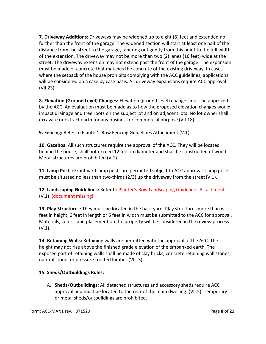<span id="page-8-0"></span>**7. Driveway Additions:** Driveways may be widened up to eight (8) feet and extended no further than the front of the garage. The widened section will start at least one half of the distance from the street to the garage, tapering out gently from this point to the full width of the extension. The driveway may not be more than two (2) lanes (16 feet) wide at the street. The driveway extension may not extend past the front of the garage. The expansion must be made of concrete that matches the concrete of the existing driveway. In cases where the setback of the house prohibits complying with the ACC guidelines, applications will be considered on a case by case basis. All driveway expansions require ACC approval (VII.23).

<span id="page-8-1"></span>**8. Elevation (Ground Level) Changes:** Elevation (ground level) changes must be approved by the ACC. An evaluation must be made as to how the proposed elevation changes would impact drainage and tree roots on the subject lot and on adjacent lots. No lot owner shall excavate or extract earth for any business or commercial purpose (VII.18).

<span id="page-8-2"></span>**9. Fencing:** Refer to Planter's Row Fencing Guidelines Attachment (V.1).

<span id="page-8-3"></span>**10. Gazebos:** All such structures require the approval of the ACC. They will be located behind the house, shall not exceed 12 feet in diameter and shall be constructed of wood. Metal structures are prohibited (V.1).

<span id="page-8-4"></span>**11. Lamp Posts:** Front yard lamp posts are permitted subject to ACC approval. Lamp posts must be situated no less than two-thirds  $(2/3)$  up the driveway from the street  $(V.1)$ .

<span id="page-8-5"></span>**12. Landscaping Guidelines:** Refer to Planter's Row Landscaping Guidelines Attachment. (V.1) (document missing)

<span id="page-8-6"></span>**13. Play Structures:** They must be located in the back yard. Play structures more than 6 feet in height, 6 feet in length or 6 feet in width must be submitted to the ACC for approval. Materials, colors, and placement on the property will be considered in the review process (V.1).

<span id="page-8-7"></span>**14. Retaining Walls:** Retaining walls are permitted with the approval of the ACC. The height may not rise above the finished grade elevation of the embanked earth. The exposed part of retaining walls shall be made of clay bricks, concrete retaining wall stones, natural stone, or pressure treated lumber (VII. 3).

#### <span id="page-8-8"></span>**15. Sheds/Outbuildings Rules:**

A. **Sheds/Outbuildings:** All detached structures and accessory sheds require ACC approval and must be located to the rear of the main dwelling. (VII.5). Temporary or metal sheds/outbuildings are prohibited.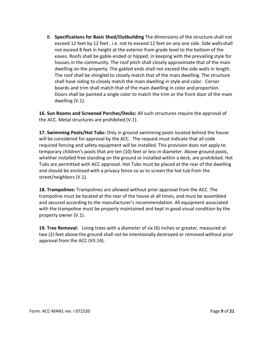B. **Specifications for Basic Shed/Outbuilding** The dimensions of the structure shall not exceed 12 feet by 12 feet , i.e. not to exceed 12 feet on any one side. Side wallsshall not exceed 8 feet in height at the exterior from grade level to the bottom of the eaves. Roofs shall be gable-ended or hipped, in keeping with the prevailing style for houses in the community. The roof pitch shall closely approximate that of the main dwelling on the property. The gabled ends shall not exceed the side walls in length. The roof shall be shingled to closely match that of the main dwelling. The structure shall have siding to closely match the main dwelling in style and color. Corner boards and trim shall match that of the main dwelling in color and proportion. Doors shall be painted a single color to match the trim or the front door of the main dwelling (V.1).

<span id="page-9-0"></span>**16. Sun Rooms and Screened Porches/Decks:** All such structures require the approval of the ACC. Metal structures are prohibited (V.1).

<span id="page-9-1"></span>**17. Swimming Pools/Hot Tubs:** Only in ground swimming pools located behind the house will be considered for approval by the ACC. The request must indicate that all code required fencing and safety equipment will be installed. This provision does not apply to temporary children's pools that are ten (10) feet or less in diameter. Above ground pools, whether installed free standing on the ground or installed within a deck, are prohibited. Hot Tubs are permitted with ACC approval. Hot Tubs must be placed at the rear of the dwelling and should be enclosed with a privacy fence so as to screen the hot tub from the street/neighbors (V.1).

<span id="page-9-2"></span>**18. Trampolines:** Trampolines are allowed without prior approval from the ACC. The trampoline must be located at the rear of the house at all times, and must be assembled and secured according to the manufacturer's recommendation. All equipment associated with the trampoline must be properly maintained and kept in good visual condition by the property owner (V.1).

<span id="page-9-3"></span>**19. Tree Removal:** Living trees with a diameter of six (6) inches or greater, measured at two (2) feet above the ground shall not be intentionally destroyed or removed without prior approval from the ACC (VII.14).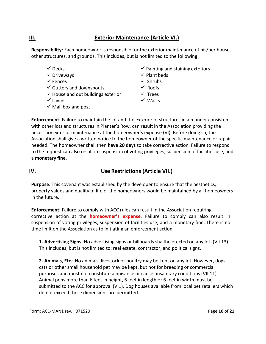### <span id="page-10-0"></span>**III. Exterior Maintenance (Article VI.)**

<span id="page-10-1"></span>**Responsibility:** Each homeowner is responsible for the exterior maintenance of his/her house, other structures, and grounds. This includes, but is not limited to the following:

- 
- 
- 
- $\checkmark$  Gutters and downspouts  $\checkmark$  Roofs
- $\checkmark$  House and out buildings exterior  $\checkmark$  Trees
- 
- $\checkmark$  Mail box and post
- $\checkmark$  Decks  $\checkmark$  Painting and staining exteriors
- $\checkmark$  Driveways  $\checkmark$  Plant beds
- $\checkmark$  Fences  $\checkmark$  Shrubs
	-
	-
- $\checkmark$  Lawns  $\checkmark$  Walks

<span id="page-10-2"></span>**Enforcement:** Failure to maintain the lot and the exterior of structures in a manner consistent with other lots and structures in Planter's Row, can result in the Association providing the necessary exterior maintenance at the homeowner's expense (VI). Before doing so, the Association shall give a written notice to the homeowner of the specific maintenance or repair needed. The homeowner shall then **have 20 days** to take corrective action. Failure to respond to the request can also result in suspension of voting privileges, suspension of facilities use, and a **monetary fine**.

#### <span id="page-10-3"></span>**IV. Use Restrictions (Article VII.)**

<span id="page-10-4"></span>**Purpose:** This covenant was established by the developer to ensure that the aesthetics, property values and quality of life of the homeowners would be maintained by all homeowners in the future.

<span id="page-10-5"></span>**Enforcement:** Failure to comply with ACC rules can result in the Association requiring corrective action at the **homeowner's expense**. Failure to comply can also result in suspension of voting privileges, suspension of facilities use, and a monetary fine. There is no time limit on the Association as to initiating an enforcement action.

<span id="page-10-6"></span>**1. Advertising Signs:** No advertising signs or billboards shallbe erected on any lot. (VII.13). This includes, but is not limited to: real estate, contractor, and political signs.

<span id="page-10-7"></span>**2. Animals, Etc.:** No animals, livestock or poultry may be kept on any lot. However, dogs, cats or other small household pet may be kept, but not for breeding or commercial purposes and must not constitute a nuisance or cause unsanitary conditions (VII.11). Animal pens more than 6 feet in height, 6 feet in length or 6 feet in width must be submitted to the ACC for approval (V.1). Dog houses available from local pet retailers which do not exceed these dimensions are permitted.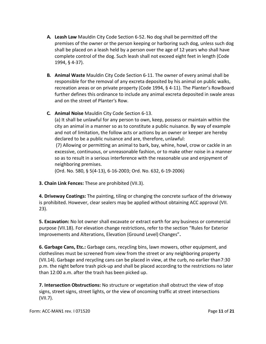- **A. Leash Law** Mauldin City Code Section 6-52. No dog shall be permitted off the premises of the owner or the person keeping or harboring such dog, unless such dog shall be placed on a leash held by a person over the age of 12 years who shall have complete control of the dog. Such leash shall not exceed eight feet in length (Code 1994, § 4-37).
- **B. Animal Waste** Mauldin City Code Section 6-11. The owner of every animal shall be responsible for the removal of any excreta deposited by his animal on public walks, recreation areas or on private property (Code 1994, § 4-11). The Planter's RowBoard further defines this ordinance to include any animal excreta deposited in swale areas and on the street of Planter's Row.
- **C. Animal Noise** Mauldin City Code Section 6-13.

(a) It shall be unlawful for any person to own, keep, possess or maintain within the city an animal in a manner so as to constitute a public nuisance. By way of example and not of limitation, the follow acts or actions by an owner or keeper are hereby declared to be a public nuisance and are, therefore, unlawful:

(7) Allowing or permitting an animal to bark, bay, whine, howl, crow or cackle in an excessive, continuous, or unreasonable fashion, or to make other noise in a manner so as to result in a serious interference with the reasonable use and enjoyment of neighboring premises.

(Ord. No. 580, § 5(4-13), 6-16-2003; Ord. No. 632, 6-19-2006)

<span id="page-11-0"></span>**3. Chain Link Fences:** These are prohibited (VII.3).

<span id="page-11-1"></span>**4. Driveway Coatings:** The painting, tiling or changing the concrete surface of the driveway is prohibited. However, clear sealers may be applied without obtaining ACC approval (VII. 23).

<span id="page-11-2"></span>**5. Excavation:** No lot owner shall excavate or extract earth for any business or commercial purpose (VII.18). For elevation change restrictions, refer to the section "Rules for Exterior Improvements and Alterations, Elevation (Ground Level) Changes"**.**

<span id="page-11-3"></span>**6. Garbage Cans, Etc.:** Garbage cans, recycling bins, lawn mowers, other equipment, and clotheslines must be screened from view from the street or any neighboring property (VII.14). Garbage and recycling cans can be placed in view, at the curb, no earlier than7:30 p.m. the night before trash pick-up and shall be placed according to the restrictions no later than 12:00 a.m. after the trash has been picked up.

<span id="page-11-4"></span>**7. Intersection Obstructions:** No structure or vegetation shall obstruct the view of stop signs, street signs, street lights, or the view of oncoming traffic at street intersections (VII.7).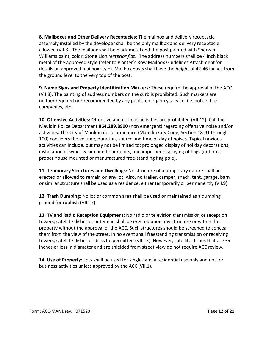<span id="page-12-0"></span>**8. Mailboxes and Other Delivery Receptacles:** The mailbox and delivery receptacle assembly installed by the developer shall be the only mailbox and delivery receptacle allowed (VII.8). The mailbox shall be black metal and the post painted with Sherwin Williams paint, color: Stone Lion *(exterior flat)*. The address numbers shall be 4 inch black metal of the approved style (refer to Planter's Row Mailbox Guidelines Attachmentfor details on approved mailbox style). Mailbox posts shall have the height of 42-46 inches from the ground level to the very top of the post.

<span id="page-12-1"></span>**9. Name Signs and Property Identification Markers:** These require the approval of the ACC (VII.8). The painting of address numbers on the curb is prohibited. Such markers are neither required nor recommended by any public emergency service, i.e. police, fire companies, etc.

<span id="page-12-2"></span>**10. Offensive Activities:** Offensive and noxious activities are prohibited (VII.12). Call the Mauldin Police Department **864.289.8900** (non emergent) regarding offensive noise and/or activities. The City of Mauldin noise ordinance (Mauldin City Code, Section 18-91 through - 100) considers the volume, duration, source and time of day of noises. Typical noxious activities can include, but may not be limited to: prolonged display of holiday decorations, installation of window air conditioner units, and improper displaying of flags (not on a proper house mounted or manufactured free-standing flag pole).

<span id="page-12-3"></span>**11. Temporary Structures and Dwellings:** No structure of a temporary nature shall be erected or allowed to remain on any lot. Also, no trailer, camper, shack, tent, garage, barn or similar structure shall be used as a residence, either temporarily or permanently (VII.9).

<span id="page-12-4"></span>**12. Trash Dumping:** No lot or common area shall be used or maintained as a dumping ground for rubbish (VII.17).

<span id="page-12-5"></span>**13. TV and Radio Reception Equipment:** No radio or television transmission or reception towers, satellite dishes or antennae shall be erected upon any structure or within the property without the approval of the ACC. Such structures should be screened to conceal them from the view of the street. In no event shall freestanding transmission or receiving towers, satellite dishes or disks be permitted (VII.15). However, satellite dishes that are 35 inches or less in diameter and are shielded from street view do not require ACC review.

<span id="page-12-6"></span>**14. Use of Property:** Lots shall be used for single-family residential use only and not for business activities unless approved by the ACC (VII.1).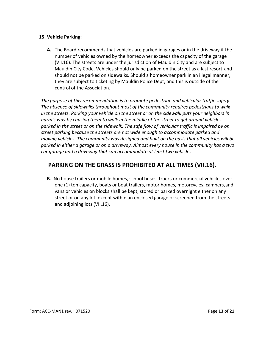#### <span id="page-13-0"></span>**15. Vehicle Parking:**

**A.** The Board recommends that vehicles are parked in garages or in the driveway if the number of vehicles owned by the homeowner exceeds the capacity of the garage (VII.16). The streets are under the jurisdiction of Mauldin City and are subject to Mauldin City Code. Vehicles should only be parked on the street as a last resort,and should not be parked on sidewalks. Should a homeowner park in an illegal manner, they are subject to ticketing by Mauldin Police Dept, and this is outside of the control of the Association.

*The purpose of this recommendation is to promote pedestrian and vehicular traffic safety. The absence of sidewalks throughout most of the community requires pedestrians to walk in the streets. Parking your vehicle on the street or on the sidewalk puts your neighbors in harm's way by causing them to walk in the middle of the street to get around vehicles parked in the street or on the sidewalk. The safe flow of vehicular traffic is impaired by on street parking because the streets are not wide enough to accommodate parked and moving vehicles. The community was designed and built on the basis that all vehicles will be parked in either a garage or on a driveway. Almost every house in the community has a two car garage and a driveway that can accommodate at least two vehicles.*

### **PARKING ON THE GRASS IS PROHIBITED AT ALL TIMES (VII.16).**

**B.** No house trailers or mobile homes, school buses, trucks or commercial vehicles over one (1) ton capacity, boats or boat trailers, motor homes, motorcycles, campers,and vans or vehicles on blocks shall be kept, stored or parked overnight either on any street or on any lot, except within an enclosed garage or screened from the streets and adjoining lots (VII.16).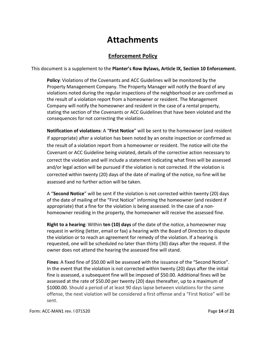# **Attachments**

### **Enforcement Policy**

<span id="page-14-1"></span><span id="page-14-0"></span>This document is a supplement to the **Planter's Row Bylaws, Article IX, Section 10 Enforcement.**

**Policy**: Violations of the Covenants and ACC Guidelines will be monitored by the Property Management Company. The Property Manager will notify the Board of any violations noted during the regular inspections of the neighborhood or are confirmed as the result of a violation report from a homeowner or resident. The Management Company will notify the homeowner and resident in the case of a rental property, stating the section of the Covenants or ACC Guidelines that have been violated and the consequences for not correcting the violation.

<span id="page-14-2"></span>**Notification of violations**: A "**First Notice**" will be sent to the homeowner (and resident if appropriate) after a violation has been noted by an onsite inspection or confirmed as the result of a violation report from a homeowner or resident. The notice will cite the Covenant or ACC Guideline being violated, details of the corrective action necessary to correct the violation and will include a statement indicating what fines will be assessed and/or legal action will be pursued if the violation is not corrected. If the violation is corrected within twenty (20) days of the date of mailing of the notice, no fine will be assessed and no further action will be taken.

A "**Second Notice**" will be sent if the violation is not corrected within twenty (20) days of the date of mailing of the "First Notice" informing the homeowner (and resident if appropriate) that a fine for the violation is being assessed. In the case of a nonhomeowner residing in the property, the homeowner will receive the assessed fine.

<span id="page-14-3"></span>**Right to a hearing**: Within **ten (10) days** of the date of the notice, a homeowner may request in writing (letter, email or fax) a hearing with the Board of Directors to dispute the violation or to reach an agreement for remedy of the violation. If a hearing is requested, one will be scheduled no later than thirty (30) days after the request. If the owner does not attend the hearing the assessed fine will stand.

<span id="page-14-4"></span>**Fines**: A fixed fine of \$50.00 will be assessed with the issuance of the "Second Notice". In the event that the violation is not corrected within twenty (20) days after the initial fine is assessed, a subsequent fine will be imposed of \$50.00. Additional fines will be assessed at the rate of \$50.00 per twenty (20) days thereafter, up to a maximum of \$1000.00. Should a period of at least 90 days lapse between violations for the same offense, the next violation will be considered a first offense and a "First Notice" will be sent.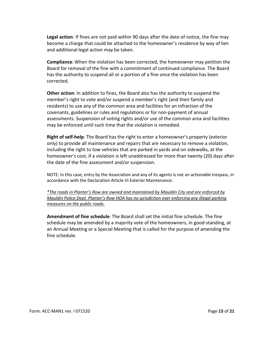<span id="page-15-0"></span>**Legal action**: If fines are not paid within 90 days after the date of notice, the fine may become a charge that could be attached to the homeowner's residence by way of lien and additional legal action may be taken.

<span id="page-15-1"></span>**Compliance**: When the violation has been corrected, the homeowner may petition the Board for removal of the fine with a commitment of continued compliance. The Board has the authority to suspend all or a portion of a fine once the violation has been corrected.

<span id="page-15-2"></span>**Other action**: In addition to fines, the Board also has the authority to suspend the member's right to vote and/or suspend a member's right (and their family and residents) to use any of the common area and facilities for an infraction of the covenants, guidelines or rules and regulations or for non-payment of annual assessments. Suspension of voting rights and/or use of the common area and facilities may be enforced until such time that the violation is remedied.

<span id="page-15-3"></span>**Right of self-help**: The Board has the right to enter a homeowner's property (exterior only) to provide all maintenance and repairs that are necessary to remove a violation, including the right to tow vehicles that are parked in yards and on sidewalks, at the homeowner's cost, if a violation is left unaddressed for more than twenty (20) days after the date of the fine assessment and/or suspension.

NOTE: In this case, entry by the Association and any of its agents is not an actionable trespass, in accordance with the Declaration Article VI Exterior Maintenance.

*\*The roads in Planter's Row are owned and maintained by Mauldin City and are enforced by Mauldin Police Dept. Planter's Row HOA has no jurisdiction over enforcing any illegal parking measures on the public roads.*

<span id="page-15-4"></span>**Amendment of fine schedule**: The Board shall set the initial fine schedule. The fine schedule may be amended by a majority vote of the homeowners, in good-standing, at an Annual Meeting or a Special Meeting that is called for the purpose of amending the fine schedule.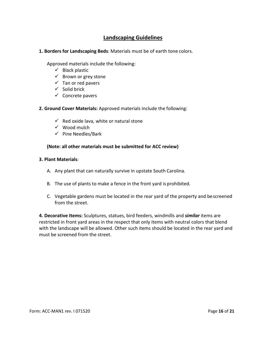#### **Landscaping Guidelines**

<span id="page-16-1"></span><span id="page-16-0"></span>**1. Borders for Landscaping Beds**: Materials must be of earth tone colors.

Approved materials include the following:

- $\checkmark$  Black plastic
- $\checkmark$  Brown or grey stone
- $\checkmark$  Tan or red pavers
- $\checkmark$  Solid brick
- $\checkmark$  Concrete pavers
- <span id="page-16-2"></span>**2. Ground Cover Materials:** Approved materials include the following:
	- $\checkmark$  Red oxide lava, white or natural stone
	- $\checkmark$  Wood mulch
	- $\checkmark$  Pine Needles/Bark

#### **(Note: all other materials must be submitted for ACC review)**

#### <span id="page-16-3"></span>**3. Plant Materials**:

- A. Any plant that can naturally survive in upstate South Carolina.
- B. The use of plants to make a fence in the front yard is prohibited.
- C. Vegetable gardens must be located in the rear yard of the property and bescreened from the street.

<span id="page-16-4"></span>**4. Decorative Items:** Sculptures, statues, bird feeders, windmills and *similar* items are restricted in front yard areas in the respect that only items with neutral colors that blend with the landscape will be allowed. Other such items should be located in the rear yard and must be screened from the street.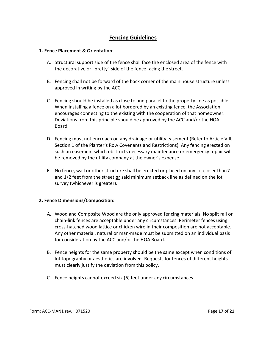#### **Fencing Guidelines**

#### <span id="page-17-1"></span><span id="page-17-0"></span>**1. Fence Placement & Orientation**:

- A. Structural support side of the fence shall face the enclosed area of the fence with the decorative or "pretty" side of the fence facing the street.
- B. Fencing shall not be forward of the back corner of the main house structure unless approved in writing by the ACC.
- C. Fencing should be installed as close to and parallel to the property line as possible. When installing a fence on a lot bordered by an existing fence, the Association encourages connecting to the existing with the cooperation of that homeowner. Deviations from this principle should be approved by the ACC and/or the HOA Board.
- D. Fencing must not encroach on any drainage or utility easement (Refer to Article VIII, Section 1 of the Planter's Row Covenants and Restrictions). Any fencing erected on such an easement which obstructs necessary maintenance or emergency repair will be removed by the utility company at the owner's expense.
- E. No fence, wall or other structure shall be erected or placed on any lot closer than7 and 1/2 feet from the street **or** said minimum setback line as defined on the lot survey (whichever is greater).

#### <span id="page-17-2"></span>**2. Fence Dimensions/Composition:**

- A. Wood and Composite Wood are the only approved fencing materials. No split rail or chain-link fences are acceptable under any circumstances. Perimeter fences using cross-hatched wood lattice or chicken wire in their composition are not acceptable. Any other material, natural or man-made must be submitted on an individual basis for consideration by the ACC and/or the HOA Board.
- B. Fence heights for the same property should be the same except when conditions of lot topography or aesthetics are involved. Requests for fences of different heights must clearly justify the deviation from this policy.
- C. Fence heights cannot exceed six (6) feet under any circumstances.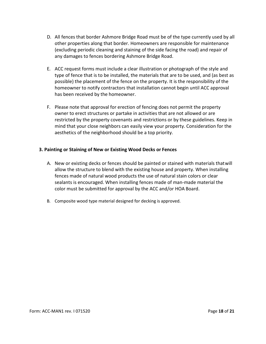- D. All fences that border Ashmore Bridge Road must be of the type currently used by all other properties along that border. Homeowners are responsible for maintenance (excluding periodic cleaning and staining of the side facing the road) and repair of any damages to fences bordering Ashmore Bridge Road.
- E. ACC request forms must include a clear illustration or photograph of the style and type of fence that is to be installed, the materials that are to be used, and (as best as possible) the placement of the fence on the property. It is the responsibility of the homeowner to notify contractors that installation cannot begin until ACC approval has been received by the homeowner.
- F. Please note that approval for erection of fencing does not permit the property owner to erect structures or partake in activities that are not allowed or are restricted by the property covenants and restrictions or by these guidelines. Keep in mind that your close neighbors can easily view your property. Consideration for the aesthetics of the neighborhood should be a top priority.

#### <span id="page-18-0"></span>**3. Painting or Staining of New or Existing Wood Decks or Fences**

- A. New or existing decks or fences should be painted or stained with materials thatwill allow the structure to blend with the existing house and property. When installing fences made of natural wood products the use of natural stain colors or clear sealants is encouraged. When installing fences made of man-made material the color must be submitted for approval by the ACC and/or HOA Board.
- B. Composite wood type material designed for decking is approved.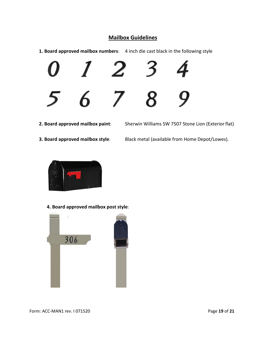### **Mailbox Guidelines**

- <span id="page-19-1"></span><span id="page-19-0"></span>**1. Board approved mailbox numbers**: 4 inch die cast black in the following style
- 

<span id="page-19-2"></span>**2. Board approved mailbox paint**: Sherwin Williams SW 7507 Stone Lion (Exteriorflat)

<span id="page-19-3"></span>**3. Board approved mailbox style**: Black metal (available from Home Depot/Lowes).



**4. Board approved mailbox post style**:

<span id="page-19-4"></span>